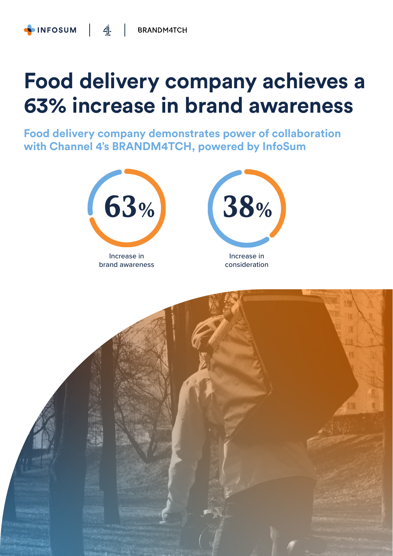## **Food delivery company achieves a 63% increase in brand awareness**

**Food delivery company demonstrates power of collaboration with Channel 4's BRANDM4TCH, powered by InfoSum**



brand awareness



Increase in consideration

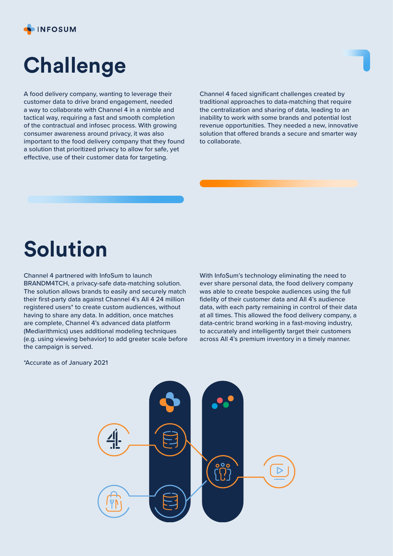

## **Challenge**

A food delivery company, wanting to leverage their customer data to drive brand engagement, needed a way to collaborate with Channel 4 in a nimble and tactical way, requiring a fast and smooth completion of the contractual and infosec process. With growing consumer awareness around privacy, it was also important to the food delivery company that they found a solution that prioritized privacy to allow for safe, yet effective, use of their customer data for targeting.

Channel 4 faced significant challenges created by traditional approaches to data-matching that require the centralization and sharing of data, leading to an inability to work with some brands and potential lost revenue opportunities. They needed a new, innovative solution that offered brands a secure and smarter way to collaborate.

### **Solution**

Channel 4 partnered with InfoSum to launch BRANDM4TCH, a privacy-safe data-matching solution. The solution allows brands to easily and securely match their first-party data against Channel 4's All 4 24 million registered users\* to create custom audiences, without having to share any data. In addition, once matches are complete, Channel 4's advanced data platform (Mediarithmics) uses additional modeling techniques (e.g. using viewing behavior) to add greater scale before the campaign is served.

With InfoSum's technology eliminating the need to ever share personal data, the food delivery company was able to create bespoke audiences using the full fidelity of their customer data and All 4's audience data, with each party remaining in control of their data at all times. This allowed the food delivery company, a data-centric brand working in a fast-moving industry, to accurately and intelligently target their customers across All 4's premium inventory in a timely manner.

\*Accurate as of January 2021

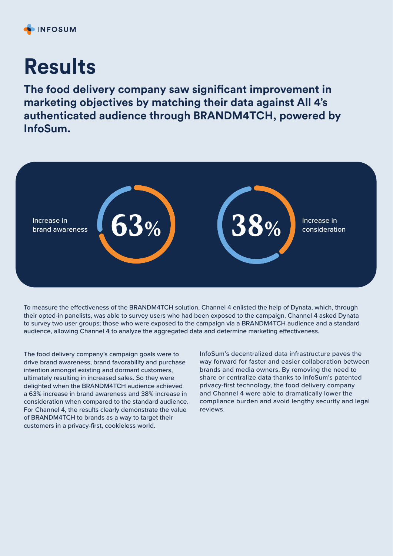#### **INFOSUM**

# **Results**

**The food delivery company saw significant improvement in marketing objectives by matching their data against All 4's authenticated audience through BRANDM4TCH, powered by InfoSum.**



To measure the effectiveness of the BRANDM4TCH solution, Channel 4 enlisted the help of Dynata, which, through their opted-in panelists, was able to survey users who had been exposed to the campaign. Channel 4 asked Dynata to survey two user groups; those who were exposed to the campaign via a BRANDM4TCH audience and a standard audience, allowing Channel 4 to analyze the aggregated data and determine marketing effectiveness.

The food delivery company's campaign goals were to drive brand awareness, brand favorability and purchase intention amongst existing and dormant customers, ultimately resulting in increased sales. So they were delighted when the BRANDM4TCH audience achieved a 63% increase in brand awareness and 38% increase in consideration when compared to the standard audience. For Channel 4, the results clearly demonstrate the value of BRANDM4TCH to brands as a way to target their customers in a privacy-first, cookieless world.

InfoSum's decentralized data infrastructure paves the way forward for faster and easier collaboration between brands and media owners. By removing the need to share or centralize data thanks to InfoSum's patented privacy-first technology, the food delivery company and Channel 4 were able to dramatically lower the compliance burden and avoid lengthy security and legal reviews.